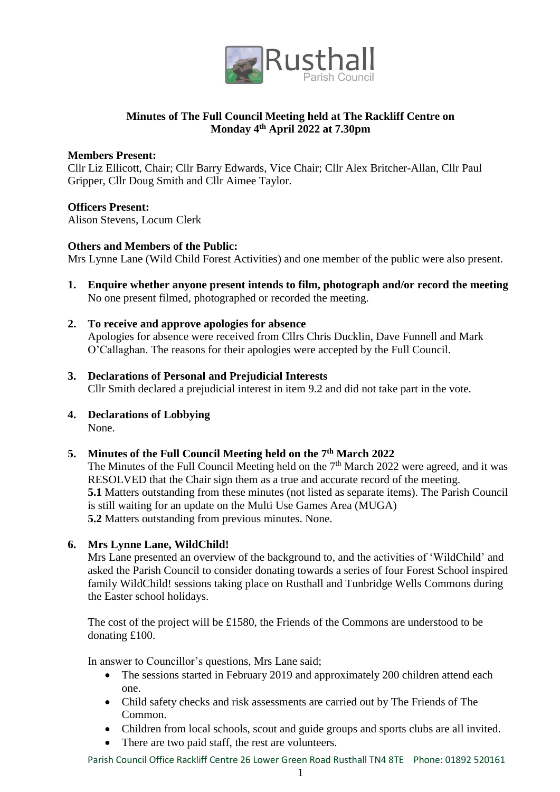

# **Minutes of The Full Council Meeting held at The Rackliff Centre on Monday 4th April 2022 at 7.30pm**

#### **Members Present:**

Cllr Liz Ellicott, Chair; Cllr Barry Edwards, Vice Chair; Cllr Alex Britcher-Allan, Cllr Paul Gripper, Cllr Doug Smith and Cllr Aimee Taylor.

### **Officers Present:**

Alison Stevens, Locum Clerk

### **Others and Members of the Public:**

Mrs Lynne Lane (Wild Child Forest Activities) and one member of the public were also present.

- **1. Enquire whether anyone present intends to film, photograph and/or record the meeting** No one present filmed, photographed or recorded the meeting.
- **2. To receive and approve apologies for absence** Apologies for absence were received from Cllrs Chris Ducklin, Dave Funnell and Mark O'Callaghan. The reasons for their apologies were accepted by the Full Council.
- **3. Declarations of Personal and Prejudicial Interests** Cllr Smith declared a prejudicial interest in item 9.2 and did not take part in the vote.
- **4. Declarations of Lobbying** None.

## **5. Minutes of the Full Council Meeting held on the 7th March 2022**

The Minutes of the Full Council Meeting held on the  $7<sup>th</sup>$  March 2022 were agreed, and it was RESOLVED that the Chair sign them as a true and accurate record of the meeting. **5.1** Matters outstanding from these minutes (not listed as separate items). The Parish Council is still waiting for an update on the Multi Use Games Area (MUGA) **5.2** Matters outstanding from previous minutes. None.

## **6. Mrs Lynne Lane, WildChild!**

Mrs Lane presented an overview of the background to, and the activities of 'WildChild' and asked the Parish Council to consider donating towards a series of four Forest School inspired family WildChild! sessions taking place on Rusthall and Tunbridge Wells Commons during the Easter school holidays.

The cost of the project will be £1580, the Friends of the Commons are understood to be donating £100.

In answer to Councillor's questions, Mrs Lane said;

- The sessions started in February 2019 and approximately 200 children attend each one.
- Child safety checks and risk assessments are carried out by The Friends of The Common.
- Children from local schools, scout and guide groups and sports clubs are all invited.
- There are two paid staff, the rest are volunteers.

Parish Council Office Rackliff Centre 26 Lower Green Road Rusthall TN4 8TE Phone: 01892 520161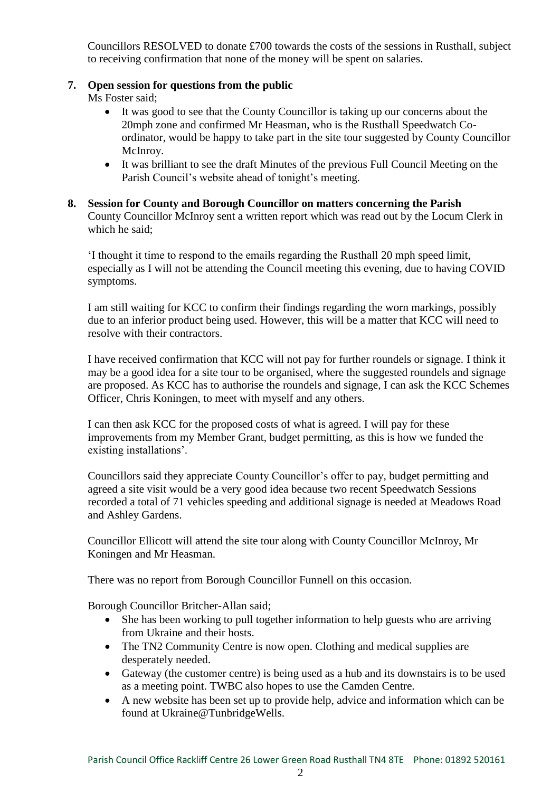Councillors RESOLVED to donate £700 towards the costs of the sessions in Rusthall, subject to receiving confirmation that none of the money will be spent on salaries.

### **7. Open session for questions from the public**

Ms Foster said;

- It was good to see that the County Councillor is taking up our concerns about the 20mph zone and confirmed Mr Heasman, who is the Rusthall Speedwatch Coordinator, would be happy to take part in the site tour suggested by County Councillor McInroy.
- It was brilliant to see the draft Minutes of the previous Full Council Meeting on the Parish Council's website ahead of tonight's meeting.

#### **8. Session for County and Borough Councillor on matters concerning the Parish** County Councillor McInroy sent a written report which was read out by the Locum Clerk in which he said;

'I thought it time to respond to the emails regarding the Rusthall 20 mph speed limit, especially as I will not be attending the Council meeting this evening, due to having COVID symptoms.

I am still waiting for KCC to confirm their findings regarding the worn markings, possibly due to an inferior product being used. However, this will be a matter that KCC will need to resolve with their contractors.

I have received confirmation that KCC will not pay for further roundels or signage. I think it may be a good idea for a site tour to be organised, where the suggested roundels and signage are proposed. As KCC has to authorise the roundels and signage, I can ask the KCC Schemes Officer, Chris Koningen, to meet with myself and any others.

I can then ask KCC for the proposed costs of what is agreed. I will pay for these improvements from my Member Grant, budget permitting, as this is how we funded the existing installations'.

Councillors said they appreciate County Councillor's offer to pay, budget permitting and agreed a site visit would be a very good idea because two recent Speedwatch Sessions recorded a total of 71 vehicles speeding and additional signage is needed at Meadows Road and Ashley Gardens.

Councillor Ellicott will attend the site tour along with County Councillor McInroy, Mr Koningen and Mr Heasman.

There was no report from Borough Councillor Funnell on this occasion.

Borough Councillor Britcher-Allan said;

- She has been working to pull together information to help guests who are arriving from Ukraine and their hosts.
- The TN2 Community Centre is now open. Clothing and medical supplies are desperately needed.
- Gateway (the customer centre) is being used as a hub and its downstairs is to be used as a meeting point. TWBC also hopes to use the Camden Centre.
- A new website has been set up to provide help, advice and information which can be found at Ukraine@TunbridgeWells.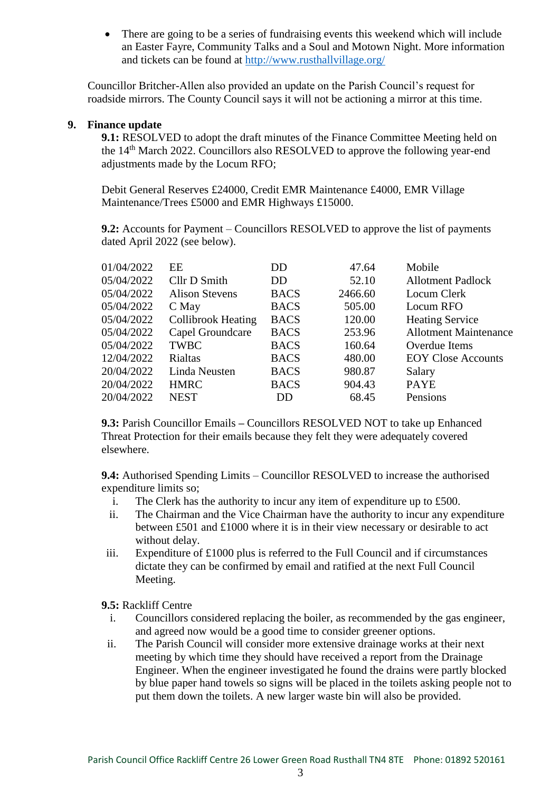There are going to be a series of fundraising events this weekend which will include an Easter Fayre, Community Talks and a Soul and Motown Night. More information and tickets can be found at<http://www.rusthallvillage.org/>

Councillor Britcher-Allen also provided an update on the Parish Council's request for roadside mirrors. The County Council says it will not be actioning a mirror at this time.

#### **9. Finance update**

**9.1:** RESOLVED to adopt the draft minutes of the Finance Committee Meeting held on the 14th March 2022. Councillors also RESOLVED to approve the following year-end adjustments made by the Locum RFO:

Debit General Reserves £24000, Credit EMR Maintenance £4000, EMR Village Maintenance/Trees £5000 and EMR Highways £15000.

**9.2:** Accounts for Payment – Councillors RESOLVED to approve the list of payments dated April 2022 (see below).

| 01/04/2022 | EE                        | DD          | 47.64   | Mobile                       |
|------------|---------------------------|-------------|---------|------------------------------|
| 05/04/2022 | Cllr D Smith              | DD          | 52.10   | <b>Allotment Padlock</b>     |
| 05/04/2022 | <b>Alison Stevens</b>     | <b>BACS</b> | 2466.60 | Locum Clerk                  |
| 05/04/2022 | C May                     | <b>BACS</b> | 505.00  | Locum RFO                    |
| 05/04/2022 | <b>Collibrook Heating</b> | <b>BACS</b> | 120.00  | <b>Heating Service</b>       |
| 05/04/2022 | Capel Groundcare          | <b>BACS</b> | 253.96  | <b>Allotment Maintenance</b> |
| 05/04/2022 | <b>TWBC</b>               | <b>BACS</b> | 160.64  | Overdue Items                |
| 12/04/2022 | <b>Rialtas</b>            | <b>BACS</b> | 480.00  | <b>EOY Close Accounts</b>    |
| 20/04/2022 | Linda Neusten             | <b>BACS</b> | 980.87  | Salary                       |
| 20/04/2022 | <b>HMRC</b>               | <b>BACS</b> | 904.43  | <b>PAYE</b>                  |
| 20/04/2022 | <b>NEST</b>               | DD          | 68.45   | Pensions                     |
|            |                           |             |         |                              |

**9.3:** Parish Councillor Emails **–** Councillors RESOLVED NOT to take up Enhanced Threat Protection for their emails because they felt they were adequately covered elsewhere.

**9.4:** Authorised Spending Limits – Councillor RESOLVED to increase the authorised expenditure limits so;

- i. The Clerk has the authority to incur any item of expenditure up to £500.
- ii. The Chairman and the Vice Chairman have the authority to incur any expenditure between £501 and £1000 where it is in their view necessary or desirable to act without delay.
- iii. Expenditure of £1000 plus is referred to the Full Council and if circumstances dictate they can be confirmed by email and ratified at the next Full Council Meeting.

**9.5:** Rackliff Centre

- i. Councillors considered replacing the boiler, as recommended by the gas engineer, and agreed now would be a good time to consider greener options.
- ii. The Parish Council will consider more extensive drainage works at their next meeting by which time they should have received a report from the Drainage Engineer. When the engineer investigated he found the drains were partly blocked by blue paper hand towels so signs will be placed in the toilets asking people not to put them down the toilets. A new larger waste bin will also be provided.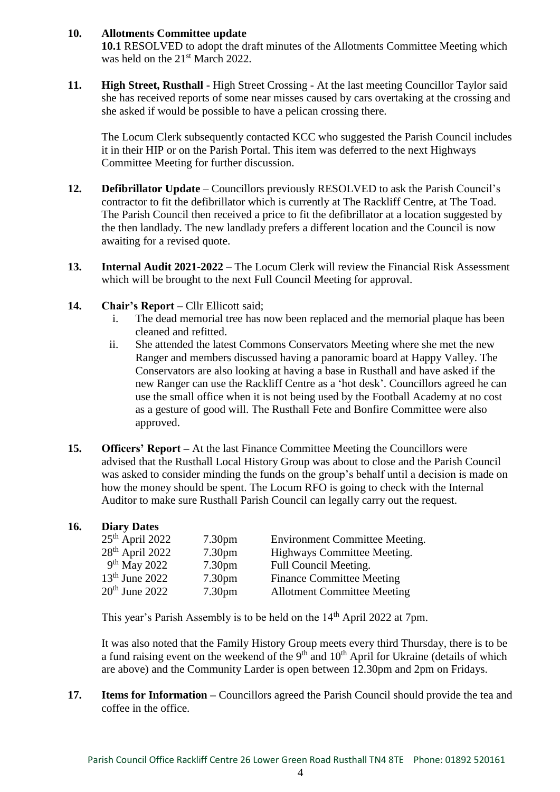## **10. Allotments Committee update**

**10.1** RESOLVED to adopt the draft minutes of the Allotments Committee Meeting which was held on the 21<sup>st</sup> March 2022.

**11. High Street, Rusthall** - High Street Crossing - At the last meeting Councillor Taylor said she has received reports of some near misses caused by cars overtaking at the crossing and she asked if would be possible to have a pelican crossing there.

The Locum Clerk subsequently contacted KCC who suggested the Parish Council includes it in their HIP or on the Parish Portal. This item was deferred to the next Highways Committee Meeting for further discussion.

- **12. Defibrillator Update** Councillors previously RESOLVED to ask the Parish Council's contractor to fit the defibrillator which is currently at The Rackliff Centre, at The Toad. The Parish Council then received a price to fit the defibrillator at a location suggested by the then landlady. The new landlady prefers a different location and the Council is now awaiting for a revised quote.
- **13. Internal Audit 2021-2022 –** The Locum Clerk will review the Financial Risk Assessment which will be brought to the next Full Council Meeting for approval.
- 14. Chair's Report Cllr Ellicott said;
	- i. The dead memorial tree has now been replaced and the memorial plaque has been cleaned and refitted.
	- ii. She attended the latest Commons Conservators Meeting where she met the new Ranger and members discussed having a panoramic board at Happy Valley. The Conservators are also looking at having a base in Rusthall and have asked if the new Ranger can use the Rackliff Centre as a 'hot desk'. Councillors agreed he can use the small office when it is not being used by the Football Academy at no cost as a gesture of good will. The Rusthall Fete and Bonfire Committee were also approved.
- **15. Officers' Report –** At the last Finance Committee Meeting the Councillors were advised that the Rusthall Local History Group was about to close and the Parish Council was asked to consider minding the funds on the group's behalf until a decision is made on how the money should be spent. The Locum RFO is going to check with the Internal Auditor to make sure Rusthall Parish Council can legally carry out the request.

| 16. | <b>Diary Dates</b>         |                    |                                       |
|-----|----------------------------|--------------------|---------------------------------------|
|     | $25th$ April 2022          | 7.30 <sub>pm</sub> | <b>Environment Committee Meeting.</b> |
|     | $28th$ April 2022          | 7.30 <sub>pm</sub> | Highways Committee Meeting.           |
|     | 9 <sup>th</sup> May 2022   | 7.30 <sub>pm</sub> | Full Council Meeting.                 |
|     | 13 <sup>th</sup> June 2022 | 7.30 <sub>pm</sub> | <b>Finance Committee Meeting</b>      |
|     | $20th$ June 2022           | 7.30 <sub>pm</sub> | <b>Allotment Committee Meeting</b>    |

This year's Parish Assembly is to be held on the 14<sup>th</sup> April 2022 at 7pm.

It was also noted that the Family History Group meets every third Thursday, there is to be a fund raising event on the weekend of the  $9<sup>th</sup>$  and  $10<sup>th</sup>$  April for Ukraine (details of which are above) and the Community Larder is open between 12.30pm and 2pm on Fridays.

**17. Items for Information –** Councillors agreed the Parish Council should provide the tea and coffee in the office.